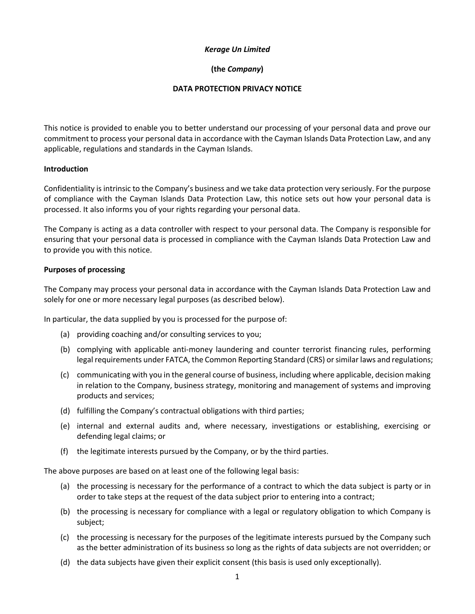## *Kerage Un Limited*

# **(the** *Company***)**

## **DATA PROTECTION PRIVACY NOTICE**

This notice is provided to enable you to better understand our processing of your personal data and prove our commitment to process your personal data in accordance with the Cayman Islands Data Protection Law, and any applicable, regulations and standards in the Cayman Islands.

# **Introduction**

Confidentiality is intrinsic to the Company's business and we take data protection very seriously. For the purpose of compliance with the Cayman Islands Data Protection Law, this notice sets out how your personal data is processed. It also informs you of your rights regarding your personal data.

The Company is acting as a data controller with respect to your personal data. The Company is responsible for ensuring that your personal data is processed in compliance with the Cayman Islands Data Protection Law and to provide you with this notice.

## **Purposes of processing**

The Company may process your personal data in accordance with the Cayman Islands Data Protection Law and solely for one or more necessary legal purposes (as described below).

In particular, the data supplied by you is processed for the purpose of:

- (a) providing coaching and/or consulting services to you;
- (b) complying with applicable anti-money laundering and counter terrorist financing rules, performing legal requirements under FATCA, the Common Reporting Standard (CRS) or similar laws and regulations;
- (c) communicating with you in the general course of business, including where applicable, decision making in relation to the Company, business strategy, monitoring and management of systems and improving products and services;
- (d) fulfilling the Company's contractual obligations with third parties;
- (e) internal and external audits and, where necessary, investigations or establishing, exercising or defending legal claims; or
- (f) the legitimate interests pursued by the Company, or by the third parties.

The above purposes are based on at least one of the following legal basis:

- (a) the processing is necessary for the performance of a contract to which the data subject is party or in order to take steps at the request of the data subject prior to entering into a contract;
- (b) the processing is necessary for compliance with a legal or regulatory obligation to which Company is subject;
- (c) the processing is necessary for the purposes of the legitimate interests pursued by the Company such as the better administration of its business so long as the rights of data subjects are not overridden; or
- (d) the data subjects have given their explicit consent (this basis is used only exceptionally).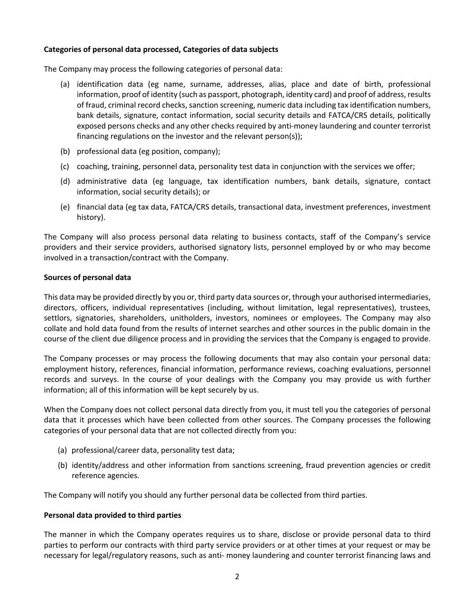## **Categories of personal data processed, Categories of data subjects**

The Company may process the following categories of personal data:

- (a) identification data (eg name, surname, addresses, alias, place and date of birth, professional information, proof of identity (such as passport, photograph, identity card) and proof of address, results of fraud, criminal record checks, sanction screening, numeric data including tax identification numbers, bank details, signature, contact information, social security details and FATCA/CRS details, politically exposed persons checks and any other checks required by anti-money laundering and counter terrorist financing regulations on the investor and the relevant person(s));
- (b) professional data (eg position, company);
- (c) coaching, training, personnel data, personality test data in conjunction with the services we offer;
- (d) administrative data (eg language, tax identification numbers, bank details, signature, contact information, social security details); or
- (e) financial data (eg tax data, FATCA/CRS details, transactional data, investment preferences, investment history).

The Company will also process personal data relating to business contacts, staff of the Company's service providers and their service providers, authorised signatory lists, personnel employed by or who may become involved in a transaction/contract with the Company.

# **Sources of personal data**

This data may be provided directly by you or, third party data sources or, through your authorised intermediaries, directors, officers, individual representatives (including, without limitation, legal representatives), trustees, settlors, signatories, shareholders, unitholders, investors, nominees or employees. The Company may also collate and hold data found from the results of internet searches and other sources in the public domain in the course of the client due diligence process and in providing the services that the Company is engaged to provide.

The Company processes or may process the following documents that may also contain your personal data: employment history, references, financial information, performance reviews, coaching evaluations, personnel records and surveys. In the course of your dealings with the Company you may provide us with further information; all of this information will be kept securely by us.

When the Company does not collect personal data directly from you, it must tell you the categories of personal data that it processes which have been collected from other sources. The Company processes the following categories of your personal data that are not collected directly from you:

- (a) professional/career data, personality test data;
- (b) identity/address and other information from sanctions screening, fraud prevention agencies or credit reference agencies.

The Company will notify you should any further personal data be collected from third parties.

## **Personal data provided to third parties**

The manner in which the Company operates requires us to share, disclose or provide personal data to third parties to perform our contracts with third party service providers or at other times at your request or may be necessary for legal/regulatory reasons, such as anti- money laundering and counter terrorist financing laws and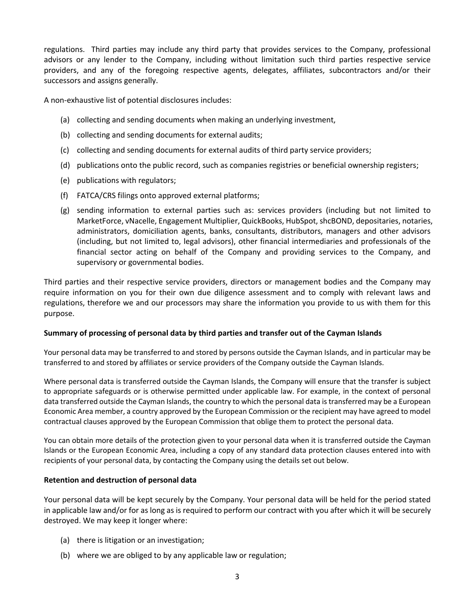regulations. Third parties may include any third party that provides services to the Company, professional advisors or any lender to the Company, including without limitation such third parties respective service providers, and any of the foregoing respective agents, delegates, affiliates, subcontractors and/or their successors and assigns generally.

A non-exhaustive list of potential disclosures includes:

- (a) collecting and sending documents when making an underlying investment,
- (b) collecting and sending documents for external audits;
- (c) collecting and sending documents for external audits of third party service providers;
- (d) publications onto the public record, such as companies registries or beneficial ownership registers;
- (e) publications with regulators;
- (f) FATCA/CRS filings onto approved external platforms;
- (g) sending information to external parties such as: services providers (including but not limited to MarketForce, vNacelle, Engagement Multiplier, QuickBooks, HubSpot, shcBOND, depositaries, notaries, administrators, domiciliation agents, banks, consultants, distributors, managers and other advisors (including, but not limited to, legal advisors), other financial intermediaries and professionals of the financial sector acting on behalf of the Company and providing services to the Company, and supervisory or governmental bodies.

Third parties and their respective service providers, directors or management bodies and the Company may require information on you for their own due diligence assessment and to comply with relevant laws and regulations, therefore we and our processors may share the information you provide to us with them for this purpose.

## **Summary of processing of personal data by third parties and transfer out of the Cayman Islands**

Your personal data may be transferred to and stored by persons outside the Cayman Islands, and in particular may be transferred to and stored by affiliates or service providers of the Company outside the Cayman Islands.

Where personal data is transferred outside the Cayman Islands, the Company will ensure that the transfer is subject to appropriate safeguards or is otherwise permitted under applicable law. For example, in the context of personal data transferred outside the Cayman Islands, the country to which the personal data is transferred may be a European Economic Area member, a country approved by the European Commission or the recipient may have agreed to model contractual clauses approved by the European Commission that oblige them to protect the personal data.

You can obtain more details of the protection given to your personal data when it is transferred outside the Cayman Islands or the European Economic Area, including a copy of any standard data protection clauses entered into with recipients of your personal data, by contacting the Company using the details set out below.

## **Retention and destruction of personal data**

Your personal data will be kept securely by the Company. Your personal data will be held for the period stated in applicable law and/or for as long as is required to perform our contract with you after which it will be securely destroyed. We may keep it longer where:

- (a) there is litigation or an investigation;
- (b) where we are obliged to by any applicable law or regulation;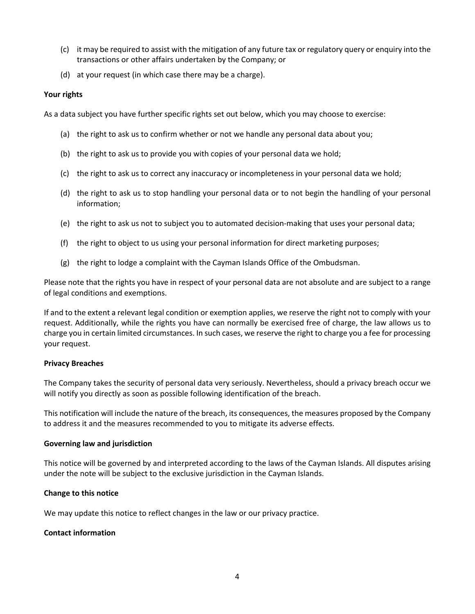- (c) it may be required to assist with the mitigation of any future tax or regulatory query or enquiry into the transactions or other affairs undertaken by the Company; or
- (d) at your request (in which case there may be a charge).

#### **Your rights**

As a data subject you have further specific rights set out below, which you may choose to exercise:

- (a) the right to ask us to confirm whether or not we handle any personal data about you;
- (b) the right to ask us to provide you with copies of your personal data we hold;
- (c) the right to ask us to correct any inaccuracy or incompleteness in your personal data we hold;
- (d) the right to ask us to stop handling your personal data or to not begin the handling of your personal information;
- (e) the right to ask us not to subject you to automated decision-making that uses your personal data;
- (f) the right to object to us using your personal information for direct marketing purposes;
- (g) the right to lodge a complaint with the Cayman Islands Office of the Ombudsman.

Please note that the rights you have in respect of your personal data are not absolute and are subject to a range of legal conditions and exemptions.

If and to the extent a relevant legal condition or exemption applies, we reserve the right not to comply with your request. Additionally, while the rights you have can normally be exercised free of charge, the law allows us to charge you in certain limited circumstances. In such cases, we reserve the right to charge you a fee for processing your request.

#### **Privacy Breaches**

The Company takes the security of personal data very seriously. Nevertheless, should a privacy breach occur we will notify you directly as soon as possible following identification of the breach.

This notification will include the nature of the breach, its consequences, the measures proposed by the Company to address it and the measures recommended to you to mitigate its adverse effects.

#### **Governing law and jurisdiction**

This notice will be governed by and interpreted according to the laws of the Cayman Islands. All disputes arising under the note will be subject to the exclusive jurisdiction in the Cayman Islands.

#### **Change to this notice**

We may update this notice to reflect changes in the law or our privacy practice.

## **Contact information**